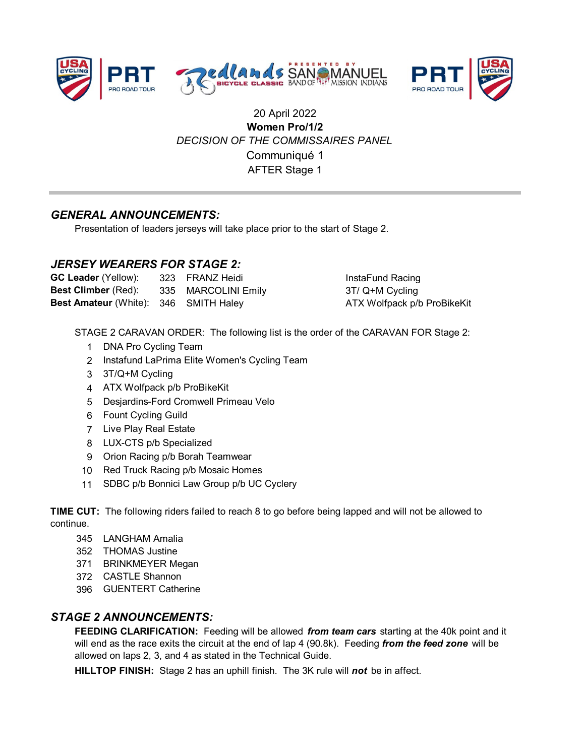



# 20 April 2022 **Women Pro/1/2** *DECISION OF THE COMMISSAIRES PANEL* AFTER Stage 1 Communiqué 1

## *GENERAL ANNOUNCEMENTS:*

Presentation of leaders jerseys will take place prior to the start of Stage 2.

### *JERSEY WEARERS FOR STAGE 2:*

| <b>GC Leader</b> (Yellow):                   | 323 FRANZ Heidi     |
|----------------------------------------------|---------------------|
| <b>Best Climber</b> (Red):                   | 335 MARCOLINI Emily |
| <b>Best Amateur</b> (White): 346 SMITH Haley |                     |

**InstaFund Racing 3T/ Q+M Cycling ATX Wolfpack p/b ProBikeKit** 

STAGE 2 CARAVAN ORDER: The following list is the order of the CARAVAN FOR Stage 2:

- 1 DNA Pro Cycling Team
- 2 Instafund LaPrima Elite Women's Cycling Team
- 3 3T/Q+M Cycling
- 4 ATX Wolfpack p/b ProBikeKit
- 5 Desjardins-Ford Cromwell Primeau Velo
- 6 Fount Cycling Guild
- 7 Live Play Real Estate
- 8 LUX-CTS p/b Specialized
- 9 Orion Racing p/b Borah Teamwear
- 10 Red Truck Racing p/b Mosaic Homes
- 11 SDBC p/b Bonnici Law Group p/b UC Cyclery

**TIME CUT:** The following riders failed to reach 8 to go before being lapped and will not be allowed to continue.

- 345 LANGHAM Amalia
- 352 THOMAS Justine
- 371 BRINKMEYER Megan
- 372 CASTLE Shannon
- 396 GUENTERT Catherine

### *STAGE 2 ANNOUNCEMENTS:*

**FEEDING CLARIFICATION:** Feeding will be allowed *from team cars* starting at the 40k point and it will end as the race exits the circuit at the end of lap 4 (90.8k). Feeding *from the feed zone* will be allowed on laps 2, 3, and 4 as stated in the Technical Guide.

**HILLTOP FINISH:** Stage 2 has an uphill finish. The 3K rule will *not* be in affect.